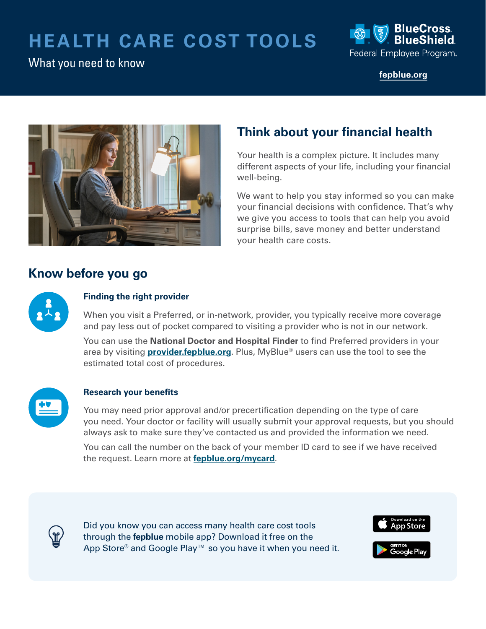# **HEALTH CARE COST TOOLS**

## What you need to know



**[fepblue.org](https://www.fepblue.org/)** 



## **Think about your financial health**

Your health is a complex picture. It includes many different aspects of your life, including your financial well-being.

We want to help you stay informed so you can make your financial decisions with confidence. That's why we give you access to tools that can help you avoid surprise bills, save money and better understand your health care costs.

## **Know before you go**



### **Finding the right provider**

When you visit a Preferred, or in-network, provider, you typically receive more coverage and pay less out of pocket compared to visiting a provider who is not in our network.

You can use the **National Doctor and Hospital Finder** to find Preferred providers in your area by visiting **[provider.fepblue.org](https://provider.fepblue.org/app/public/#/one/city=&state=&postalCode=&country=&insurerCode=BCBSA_I&brandCode=BCBSAFEP&productCode=BCBSAFEP&alphaPrefix=&bcbsaProductId=)**. Plus, MyBlue® users can use the tool to see the estimated total cost of procedures.



#### **Research your benefits**

You may need prior approval and/or precertifcation depending on the type of care you need. Your doctor or facility will usually submit your approval requests, but you should always ask to make sure they've contacted us and provided the information we need.

You can call the number on the back of your member ID card to see if we have received the request. Learn more at **[fepblue.org/mycard](https://www.fepblue.org/open-season/whats-new-2022)**.



Did you know you can access many health care cost tools through the **fepblue** mobile app? Download it free on the App Store® and Google Play™ so you have it when you need it.